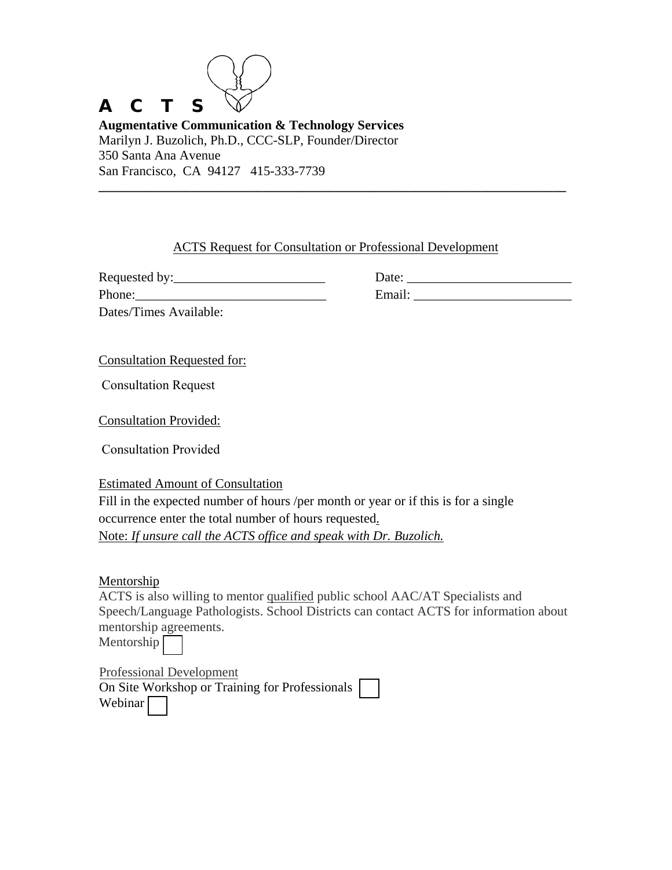## A C T S

**Augmentative Communication & Technology Services** Marilyn J. Buzolich, Ph.D., CCC-SLP, Founder/Director 350 Santa Ana Avenue San Francisco, CA 94127 415-333-7739

## ACTS Request for Consultation or Professional Development

**\_\_\_\_\_\_\_\_\_\_\_\_\_\_\_\_\_\_\_\_\_\_\_\_\_\_\_\_\_\_\_\_\_\_\_\_\_\_\_\_\_\_\_\_\_\_\_\_\_\_\_\_\_\_\_\_\_\_\_\_\_\_\_\_\_\_\_\_\_\_\_** 

Requested by:\_\_\_\_\_\_\_\_\_\_\_\_\_\_\_\_\_\_\_\_\_\_\_ Date: \_\_\_\_\_\_\_\_\_\_\_\_\_\_\_\_\_\_\_\_\_\_\_\_\_

Dates/Times Available:

Phone: Email:  $\Box$ 

Consultation Requested for:

Consultation Request

Consultation Provided:

Consultation Provided

Estimated Amount of Consultation Fill in the expected number of hours /per month or year or if this is for a single occurrence enter the total number of hours requested. Note: *If unsure call the ACTS office and speak with Dr. Buzolich.*

Mentorship

ACTS is also willing to mentor qualified public school AAC/AT Specialists and Speech/Language Pathologists. School Districts can contact ACTS for information about mentorship agreements.

Mentorship

Professional Development On Site Workshop or Training for Professionals Webinar<sup>[1]</sup>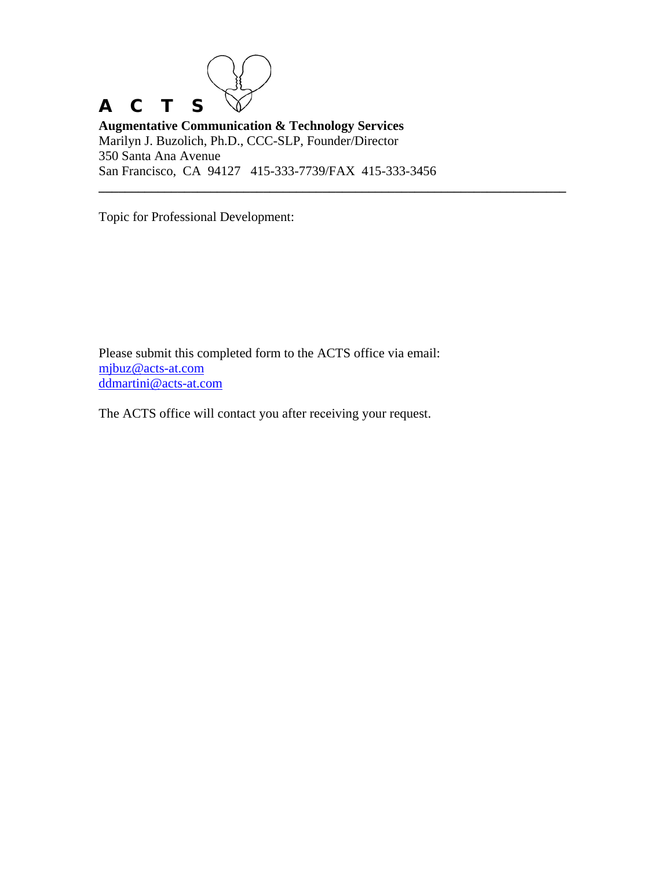## A C T S

**Augmentative Communication & Technology Services** Marilyn J. Buzolich, Ph.D., CCC-SLP, Founder/Director 350 Santa Ana Avenue San Francisco, CA 94127 415-333-7739/FAX 415-333-3456

**\_\_\_\_\_\_\_\_\_\_\_\_\_\_\_\_\_\_\_\_\_\_\_\_\_\_\_\_\_\_\_\_\_\_\_\_\_\_\_\_\_\_\_\_\_\_\_\_\_\_\_\_\_\_\_\_\_\_\_\_\_\_\_\_\_\_\_\_\_\_\_** 

Topic for Professional Development:

Please submit this completed form to the ACTS office via email: [mjbuz@acts-at.com](mailto:mjbuz@acts-at.com) [ddmartini@acts-at.com](mailto:ddmartini@acts-at.com)

The ACTS office will contact you after receiving your request.